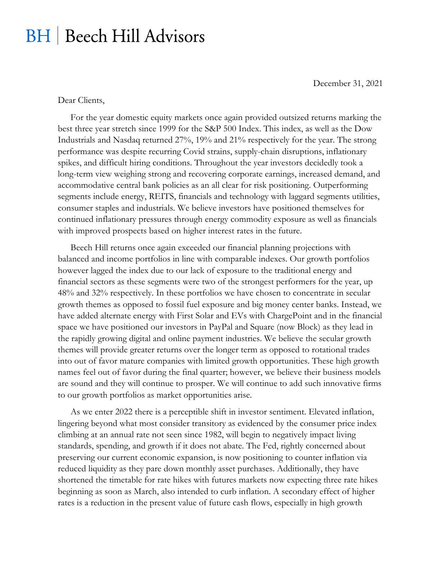## **BH** | Beech Hill Advisors

December 31, 2021

Dear Clients,

For the year domestic equity markets once again provided outsized returns marking the best three year stretch since 1999 for the S&P 500 Index. This index, as well as the Dow Industrials and Nasdaq returned 27%, 19% and 21% respectively for the year. The strong performance was despite recurring Covid strains, supply-chain disruptions, inflationary spikes, and difficult hiring conditions. Throughout the year investors decidedly took a long-term view weighing strong and recovering corporate earnings, increased demand, and accommodative central bank policies as an all clear for risk positioning. Outperforming segments include energy, REITS, financials and technology with laggard segments utilities, consumer staples and industrials. We believe investors have positioned themselves for continued inflationary pressures through energy commodity exposure as well as financials with improved prospects based on higher interest rates in the future.

Beech Hill returns once again exceeded our financial planning projections with balanced and income portfolios in line with comparable indexes. Our growth portfolios however lagged the index due to our lack of exposure to the traditional energy and financial sectors as these segments were two of the strongest performers for the year, up 48% and 32% respectively. In these portfolios we have chosen to concentrate in secular growth themes as opposed to fossil fuel exposure and big money center banks. Instead, we have added alternate energy with First Solar and EVs with ChargePoint and in the financial space we have positioned our investors in PayPal and Square (now Block) as they lead in the rapidly growing digital and online payment industries. We believe the secular growth themes will provide greater returns over the longer term as opposed to rotational trades into out of favor mature companies with limited growth opportunities. These high growth names feel out of favor during the final quarter; however, we believe their business models are sound and they will continue to prosper. We will continue to add such innovative firms to our growth portfolios as market opportunities arise.

As we enter 2022 there is a perceptible shift in investor sentiment. Elevated inflation, lingering beyond what most consider transitory as evidenced by the consumer price index climbing at an annual rate not seen since 1982, will begin to negatively impact living standards, spending, and growth if it does not abate. The Fed, rightly concerned about preserving our current economic expansion, is now positioning to counter inflation via reduced liquidity as they pare down monthly asset purchases. Additionally, they have shortened the timetable for rate hikes with futures markets now expecting three rate hikes beginning as soon as March, also intended to curb inflation. A secondary effect of higher rates is a reduction in the present value of future cash flows, especially in high growth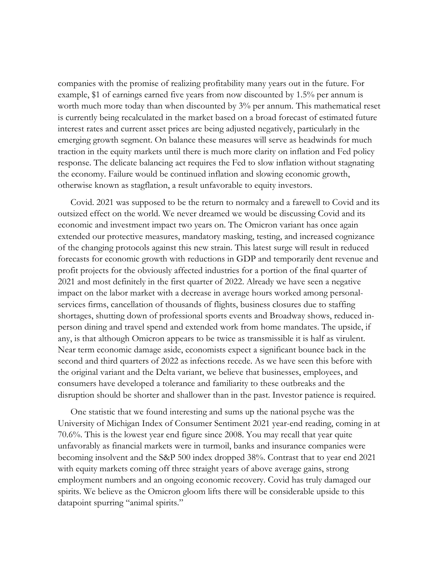companies with the promise of realizing profitability many years out in the future. For example, \$1 of earnings earned five years from now discounted by 1.5% per annum is worth much more today than when discounted by 3% per annum. This mathematical reset is currently being recalculated in the market based on a broad forecast of estimated future interest rates and current asset prices are being adjusted negatively, particularly in the emerging growth segment. On balance these measures will serve as headwinds for much traction in the equity markets until there is much more clarity on inflation and Fed policy response. The delicate balancing act requires the Fed to slow inflation without stagnating the economy. Failure would be continued inflation and slowing economic growth, otherwise known as stagflation, a result unfavorable to equity investors.

Covid. 2021 was supposed to be the return to normalcy and a farewell to Covid and its outsized effect on the world. We never dreamed we would be discussing Covid and its economic and investment impact two years on. The Omicron variant has once again extended our protective measures, mandatory masking, testing, and increased cognizance of the changing protocols against this new strain. This latest surge will result in reduced forecasts for economic growth with reductions in GDP and temporarily dent revenue and profit projects for the obviously affected industries for a portion of the final quarter of 2021 and most definitely in the first quarter of 2022. Already we have seen a negative impact on the labor market with a decrease in average hours worked among personalservices firms, cancellation of thousands of flights, business closures due to staffing shortages, shutting down of professional sports events and Broadway shows, reduced inperson dining and travel spend and extended work from home mandates. The upside, if any, is that although Omicron appears to be twice as transmissible it is half as virulent. Near term economic damage aside, economists expect a significant bounce back in the second and third quarters of 2022 as infections recede. As we have seen this before with the original variant and the Delta variant, we believe that businesses, employees, and consumers have developed a tolerance and familiarity to these outbreaks and the disruption should be shorter and shallower than in the past. Investor patience is required.

One statistic that we found interesting and sums up the national psyche was the University of Michigan Index of Consumer Sentiment 2021 year-end reading, coming in at 70.6%. This is the lowest year end figure since 2008. You may recall that year quite unfavorably as financial markets were in turmoil, banks and insurance companies were becoming insolvent and the S&P 500 index dropped 38%. Contrast that to year end 2021 with equity markets coming off three straight years of above average gains, strong employment numbers and an ongoing economic recovery. Covid has truly damaged our spirits. We believe as the Omicron gloom lifts there will be considerable upside to this datapoint spurring "animal spirits."